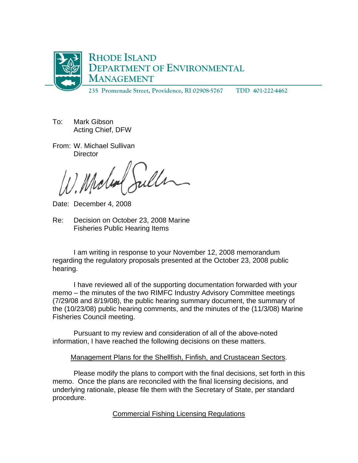

- To: Mark Gibson Acting Chief, DFW
- From: W. Michael Sullivan **Director**

Juller

Date: December 4, 2008

Re: Decision on October 23, 2008 Marine Fisheries Public Hearing Items

 I am writing in response to your November 12, 2008 memorandum regarding the regulatory proposals presented at the October 23, 2008 public hearing.

 I have reviewed all of the supporting documentation forwarded with your memo – the minutes of the two RIMFC Industry Advisory Committee meetings (7/29/08 and 8/19/08), the public hearing summary document, the summary of the (10/23/08) public hearing comments, and the minutes of the (11/3/08) Marine Fisheries Council meeting.

 Pursuant to my review and consideration of all of the above-noted information, I have reached the following decisions on these matters.

# Management Plans for the Shellfish, Finfish, and Crustacean Sectors.

Please modify the plans to comport with the final decisions, set forth in this memo. Once the plans are reconciled with the final licensing decisions, and underlying rationale, please file them with the Secretary of State, per standard procedure.

# Commercial Fishing Licensing Regulations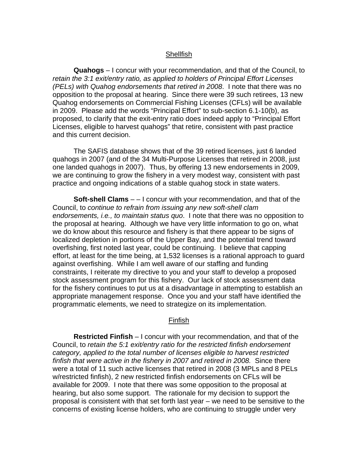### **Shellfish**

**Quahogs** – I concur with your recommendation, and that of the Council, to *retain the 3:1 exit/entry ratio, as applied to holders of Principal Effort Licenses (PELs) with Quahog endorsements that retired in 2008*. I note that there was no opposition to the proposal at hearing. Since there were 39 such retirees, 13 new Quahog endorsements on Commercial Fishing Licenses (CFLs) will be available in 2009. Please add the words "Principal Effort" to sub-section 6.1-10(b), as proposed, to clarify that the exit-entry ratio does indeed apply to "Principal Effort Licenses, eligible to harvest quahogs" that retire, consistent with past practice and this current decision.

 The SAFIS database shows that of the 39 retired licenses, just 6 landed quahogs in 2007 (and of the 34 Multi-Purpose Licenses that retired in 2008, just one landed quahogs in 2007). Thus, by offering 13 new endorsements in 2009, we are continuing to grow the fishery in a very modest way, consistent with past practice and ongoing indications of a stable quahog stock in state waters.

**Soft-shell Clams** – – I concur with your recommendation, and that of the Council, to *continue to refrain from issuing any new soft-shell clam endorsements, i.e., to maintain status quo*. I note that there was no opposition to the proposal at hearing. Although we have very little information to go on, what we do know about this resource and fishery is that there appear to be signs of localized depletion in portions of the Upper Bay, and the potential trend toward overfishing, first noted last year, could be continuing. I believe that capping effort, at least for the time being, at 1,532 licenses is a rational approach to guard against overfishing. While I am well aware of our staffing and funding constraints, I reiterate my directive to you and your staff to develop a proposed stock assessment program for this fishery. Our lack of stock assessment data for the fishery continues to put us at a disadvantage in attempting to establish an appropriate management response. Once you and your staff have identified the programmatic elements, we need to strategize on its implementation.

#### Finfish

**Restricted Finfish** – I concur with your recommendation, and that of the Council, to *retain the 5:1 exit/entry ratio for the restricted finfish endorsement category, applied to the total number of licenses eligible to harvest restricted finfish that were active in the fishery in 2007 and retired in 2008.* Since there were a total of 11 such active licenses that retired in 2008 (3 MPLs and 8 PELs w/restricted finfish), 2 new restricted finfish endorsements on CFLs will be available for 2009. I note that there was some opposition to the proposal at hearing, but also some support. The rationale for my decision to support the proposal is consistent with that set forth last year – we need to be sensitive to the concerns of existing license holders, who are continuing to struggle under very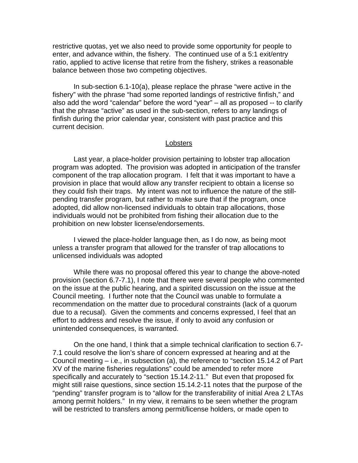restrictive quotas, yet we also need to provide some opportunity for people to enter, and advance within, the fishery. The continued use of a 5:1 exit/entry ratio, applied to active license that retire from the fishery, strikes a reasonable balance between those two competing objectives.

 In sub-section 6.1-10(a), please replace the phrase "were active in the fishery" with the phrase "had some reported landings of restrictive finfish," and also add the word "calendar" before the word "year" – all as proposed -- to clarify that the phrase "active" as used in the sub-section, refers to any landings of finfish during the prior calendar year, consistent with past practice and this current decision.

#### Lobsters

 Last year, a place-holder provision pertaining to lobster trap allocation program was adopted. The provision was adopted in anticipation of the transfer component of the trap allocation program. I felt that it was important to have a provision in place that would allow any transfer recipient to obtain a license so they could fish their traps. My intent was not to influence the nature of the stillpending transfer program, but rather to make sure that if the program, once adopted, did allow non-licensed individuals to obtain trap allocations, those individuals would not be prohibited from fishing their allocation due to the prohibition on new lobster license/endorsements.

 I viewed the place-holder language then, as I do now, as being moot unless a transfer program that allowed for the transfer of trap allocations to unlicensed individuals was adopted

While there was no proposal offered this year to change the above-noted provision (section 6.7-7.1), I note that there were several people who commented on the issue at the public hearing, and a spirited discussion on the issue at the Council meeting. I further note that the Council was unable to formulate a recommendation on the matter due to procedural constraints (lack of a quorum due to a recusal). Given the comments and concerns expressed, I feel that an effort to address and resolve the issue, if only to avoid any confusion or unintended consequences, is warranted.

On the one hand, I think that a simple technical clarification to section 6.7- 7.1 could resolve the lion's share of concern expressed at hearing and at the Council meeting – i.e., in subsection (a), the reference to "section 15.14.2 of Part XV of the marine fisheries regulations" could be amended to refer more specifically and accurately to "section 15.14.2-11." But even that proposed fix might still raise questions, since section 15.14.2-11 notes that the purpose of the "pending" transfer program is to "allow for the transferability of initial Area 2 LTAs among permit holders." In my view, it remains to be seen whether the program will be restricted to transfers among permit/license holders, or made open to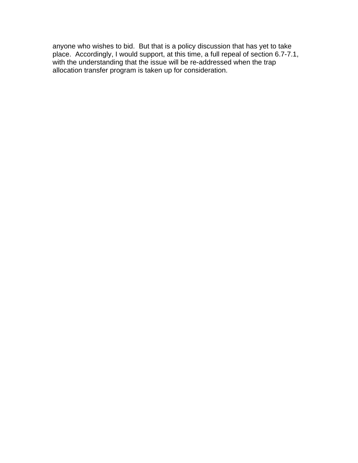anyone who wishes to bid. But that is a policy discussion that has yet to take place. Accordingly, I would support, at this time, a full repeal of section 6.7-7.1, with the understanding that the issue will be re-addressed when the trap allocation transfer program is taken up for consideration.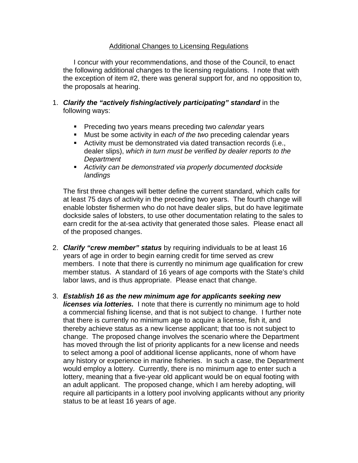## Additional Changes to Licensing Regulations

 I concur with your recommendations, and those of the Council, to enact the following additional changes to the licensing regulations. I note that with the exception of item #2, there was general support for, and no opposition to, the proposals at hearing.

- 1. *Clarify the "actively fishing/actively participating" standard* in the following ways:
	- **Preceding two years means preceding two** *calendar* **years**
	- Must be some activity in *each of the two* preceding calendar years
	- Activity must be demonstrated via dated transaction records (i.e., dealer slips), *which in turn must be verified by dealer reports to the Department*
	- *Activity can be demonstrated via properly documented dockside landings*

The first three changes will better define the current standard, which calls for at least 75 days of activity in the preceding two years. The fourth change will enable lobster fishermen who do not have dealer slips, but do have legitimate dockside sales of lobsters, to use other documentation relating to the sales to earn credit for the at-sea activity that generated those sales. Please enact all of the proposed changes.

- 2. *Clarify "crew member" status* by requiring individuals to be at least 16 years of age in order to begin earning credit for time served as crew members. I note that there is currently no minimum age qualification for crew member status. A standard of 16 years of age comports with the State's child labor laws, and is thus appropriate. Please enact that change.
- 3. *Establish 16 as the new minimum age for applicants seeking new licenses via lotteries.* I note that there is currently no minimum age to hold a commercial fishing license, and that is not subject to change. I further note that there is currently no minimum age to acquire a license, fish it, and thereby achieve status as a new license applicant; that too is not subject to change. The proposed change involves the scenario where the Department has moved through the list of priority applicants for a new license and needs to select among a pool of additional license applicants, none of whom have any history or experience in marine fisheries. In such a case, the Department would employ a lottery. Currently, there is no minimum age to enter such a lottery, meaning that a five-year old applicant would be on equal footing with an adult applicant. The proposed change, which I am hereby adopting, will require all participants in a lottery pool involving applicants without any priority status to be at least 16 years of age.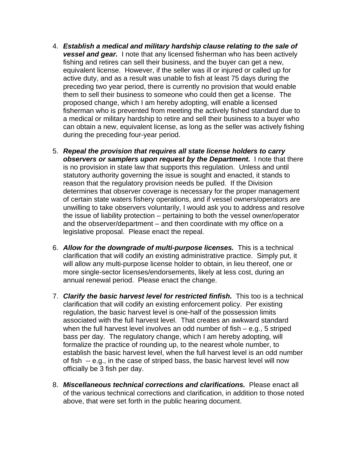- 4. *Establish a medical and military hardship clause relating to the sale of vessel and gear.* I note that any licensed fisherman who has been actively fishing and retires can sell their business, and the buyer can get a new, equivalent license. However, if the seller was ill or injured or called up for active duty, and as a result was unable to fish at least 75 days during the preceding two year period, there is currently no provision that would enable them to sell their business to someone who could then get a license. The proposed change, which I am hereby adopting, will enable a licensed fisherman who is prevented from meeting the actively fished standard due to a medical or military hardship to retire and sell their business to a buyer who can obtain a new, equivalent license, as long as the seller was actively fishing during the preceding four-year period.
- 5. *Repeal the provision that requires all state license holders to carry observers or samplers upon request by the Department.* I note that there is no provision in state law that supports this regulation. Unless and until statutory authority governing the issue is sought and enacted, it stands to reason that the regulatory provision needs be pulled. If the Division determines that observer coverage is necessary for the proper management of certain state waters fishery operations, and if vessel owners/operators are unwilling to take observers voluntarily, I would ask you to address and resolve the issue of liability protection – pertaining to both the vessel owner/operator and the observer/department – and then coordinate with my office on a legislative proposal. Please enact the repeal.
- 6. *Allow for the downgrade of multi-purpose licenses.* This is a technical clarification that will codify an existing administrative practice. Simply put, it will allow any multi-purpose license holder to obtain, in lieu thereof, one or more single-sector licenses/endorsements, likely at less cost, during an annual renewal period. Please enact the change.
- 7. *Clarify the basic harvest level for restricted finfish.* This too is a technical clarification that will codify an existing enforcement policy. Per existing regulation, the basic harvest level is one-half of the possession limits associated with the full harvest level. That creates an awkward standard when the full harvest level involves an odd number of fish – e.g., 5 striped bass per day. The regulatory change, which I am hereby adopting, will formalize the practice of rounding up, to the nearest whole number, to establish the basic harvest level, when the full harvest level is an odd number of fish -- e.g., in the case of striped bass, the basic harvest level will now officially be 3 fish per day.
- 8. *Miscellaneous technical corrections and clarifications.* Please enact all of the various technical corrections and clarification, in addition to those noted above, that were set forth in the public hearing document.